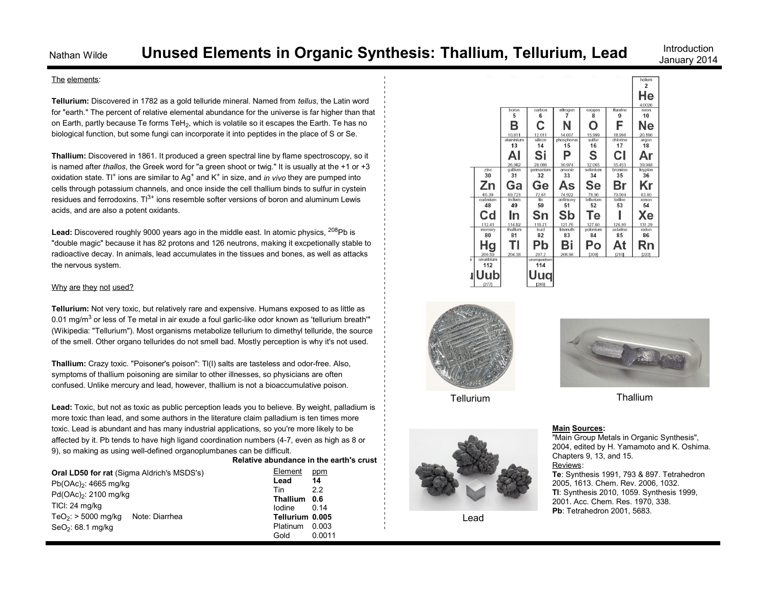January 2014

### The elements:

**Tellurium:** Discovered in 1782 as a gold telluride mineral. Named from *tellus*, the Latin word for "earth." The percent of relative elemental abundance for the universe is far higher than that on Earth, partly because Te forms TeH $_2$ , which is volatile so it escapes the Earth. Te has no biological function, but some fungi can incorporate it into peptides in the place of S or Se.

**Thallium:** Discovered in 1861. It produced a green spectral line by flame spectroscopy, so it is named after *thallos*, the Greek word for "a green shoot or twig." It is usually at the +1 or +3 oxidation state. Tl<sup>+</sup> ions are similar to Ag<sup>+</sup> and K<sup>+</sup> in size, and *in vivo* they are pumped into cells through potassium channels, and once inside the cell thallium binds to sulfur in cystein residues and ferrodoxins.  $\Pi^{3+}$  ions resemble softer versions of boron and aluminum Lewis acids, and are also a potent oxidants.

Lead: Discovered roughly 9000 years ago in the middle east. In atomic physics, <sup>208</sup>Pb is "double magic" because it has 82 protons and 126 neutrons, making it excpetionally stable to radioactive decay. In animals, lead accumulates in the tissues and bones, as well as attacks the nervous system.

### Why are they not used?

**Tellurium:** Not very toxic, but relatively rare and expensive. Humans exposed to as little as 0.01 mg/m $3$  or less of Te metal in air exude a foul garlic-like odor known as 'tellurium breath'" (Wikipedia: "Tellurium"). Most organisms metabolize tellurium to dimethyl telluride, the source of the smell. Other organo tellurides do not smell bad. Mostly perception is why it's not used.

**Thallium:** Crazy toxic. "Poisoner's poison": Tl(I) salts are tasteless and odor-free. Also, symptoms of thallium poisoning are similar to other illnesses, so physicians are often confused. Unlike mercury and lead, however, thallium is not a bioaccumulative poison.

**Lead:** Toxic, but not as toxic as public perception leads you to believe. By weight, palladium is more toxic than lead, and some authors in the literature claim palladium is ten times more toxic. Lead is abundant and has many industrial applications, so you're more likely to be affected by it. Pb tends to have high ligand coordination numbers (4-7, even as high as 8 or 9), so making as using well-defined organoplumbanes can be difficult. **Relative abundance in the earth's crust**

| Oral LD50 for rat (Sigma Aldrich's MSDS's) |                |  |
|--------------------------------------------|----------------|--|
| $Pb(OAc)_{2}$ : 4665 mg/kg                 |                |  |
| Pd(OAc) <sub>2</sub> : 2100 mg/kg          |                |  |
| TICI: 24 mg/kg                             |                |  |
| TeO <sub>2</sub> : $>$ 5000 mg/kg          | Note: Diarrhea |  |
| $SeO2: 68.1$ mg/kg                         |                |  |

| Element         | ppm    |
|-----------------|--------|
| Lead            | 14     |
| Tin             | 22     |
| <b>Thallium</b> | 0.6    |
| lodine          | 0.14   |
| Tellurium       | 0.005  |
| Platinum        | 0.003  |
| Gold            | 0.0011 |







Lead



Tellurium Thallium

#### **Main Sources:**

"Main Group Metals in Organic Synthesis", 2004, edited by H. Yamamoto and K. Oshima. Chapters 9, 13, and 15. Reviews: **Te**: Synthesis 1991, 793 & 897. Tetrahedron 2005, 1613. Chem. Rev. 2006, 1032. **Tl**: Synthesis 2010, 1059. Synthesis 1999, 2001. Acc. Chem. Res. 1970, 338. **Pb**: Tetrahedron 2001, 5683.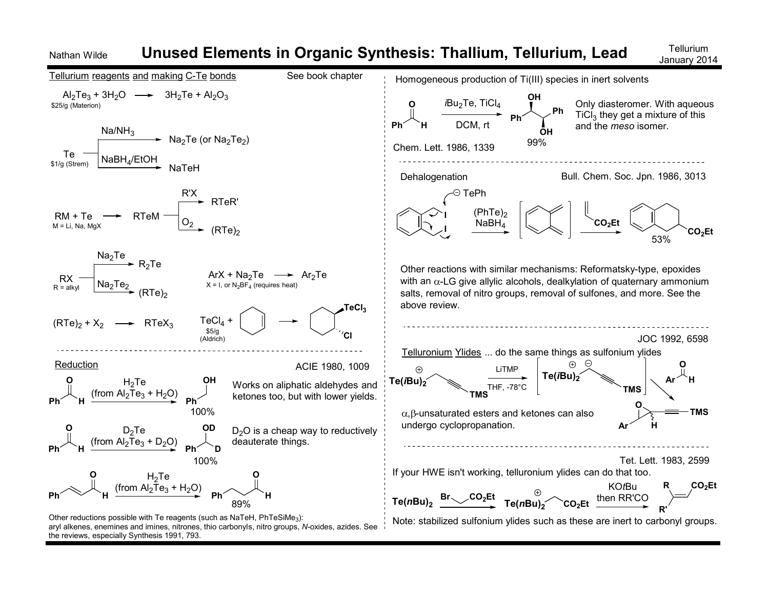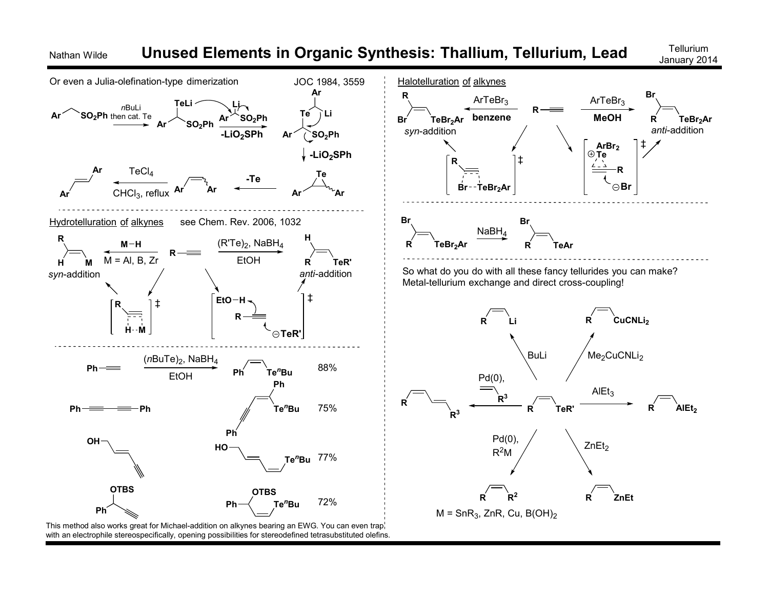

This method also works great for Michael-addition on alkynes bearing an EWG. You can even trap with an electrophile stereospecifically, opening possibilities for stereodefined tetrasubstituted olefins.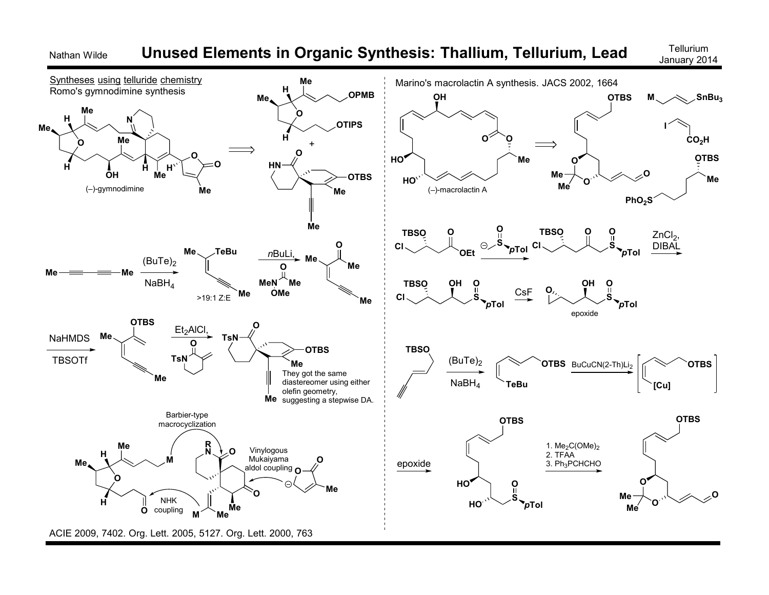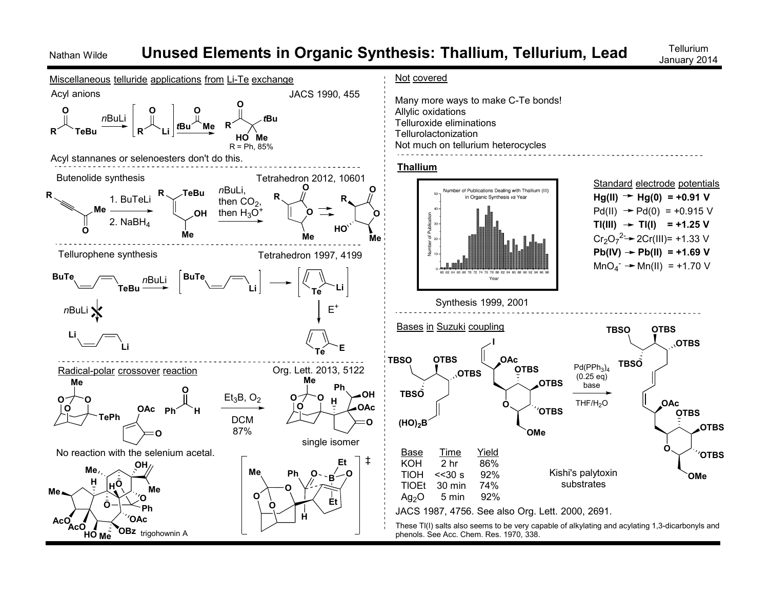## Nathan Wilde **Unused Elements in Organic Synthesis: Thallium, Tellurium, Lead** Tellurium

January 2014

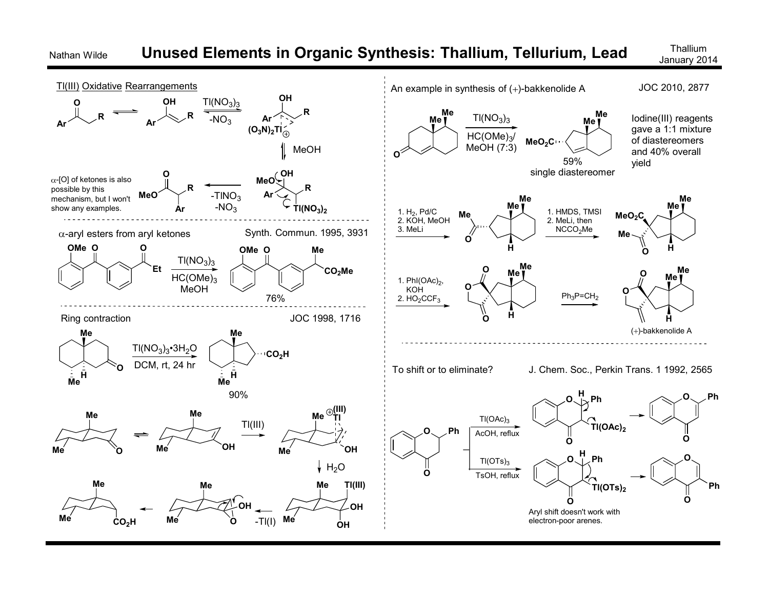

## Nathan Wilde **Unused Elements in Organic Synthesis: Thallium, Tellurium, Lead** Thalliu<sup>m</sup>

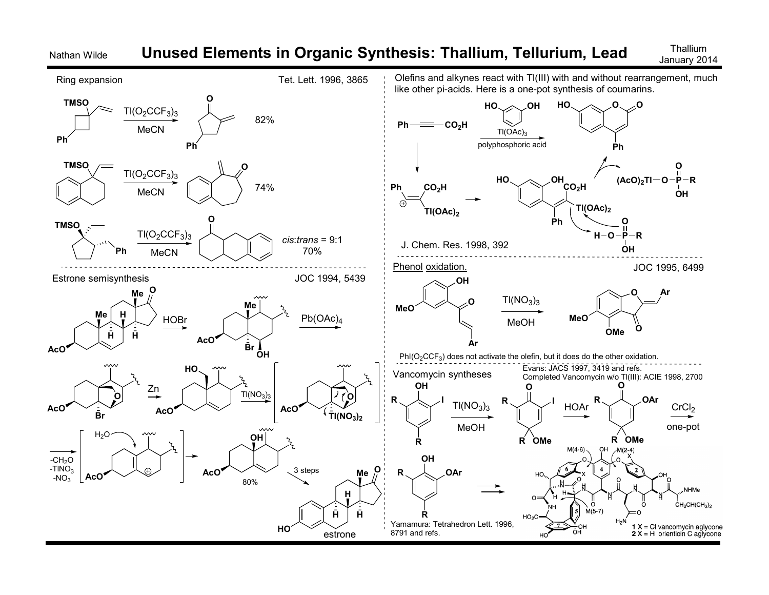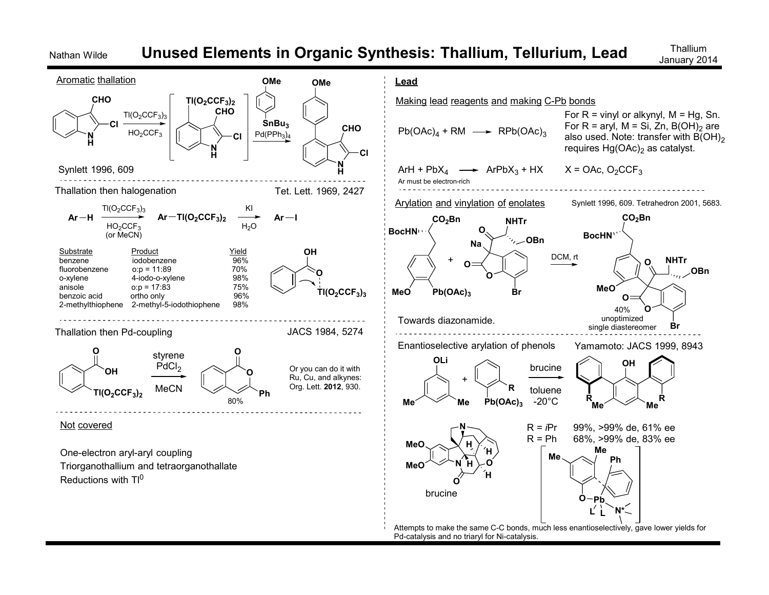## Nathan Wilde **Unused Elements in Organic Synthesis: Thallium, Tellurium, Lead** Thalliu<sup>m</sup>

January 2014

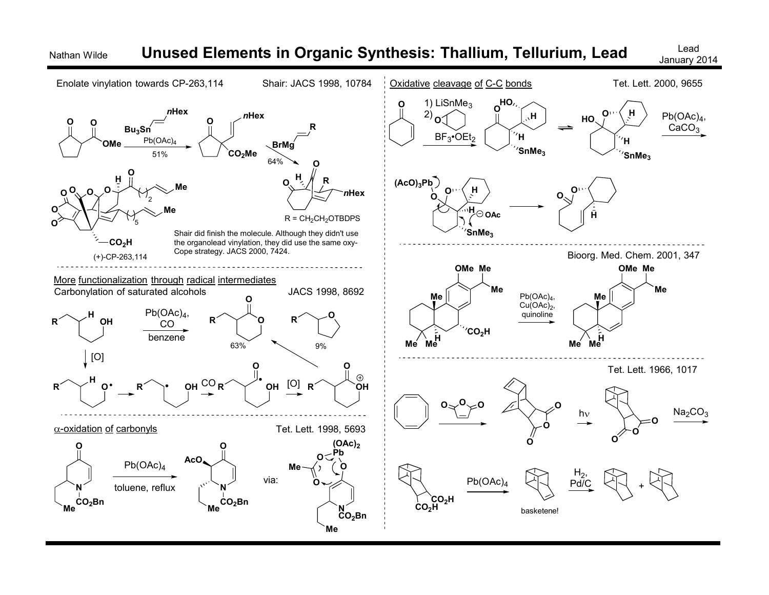